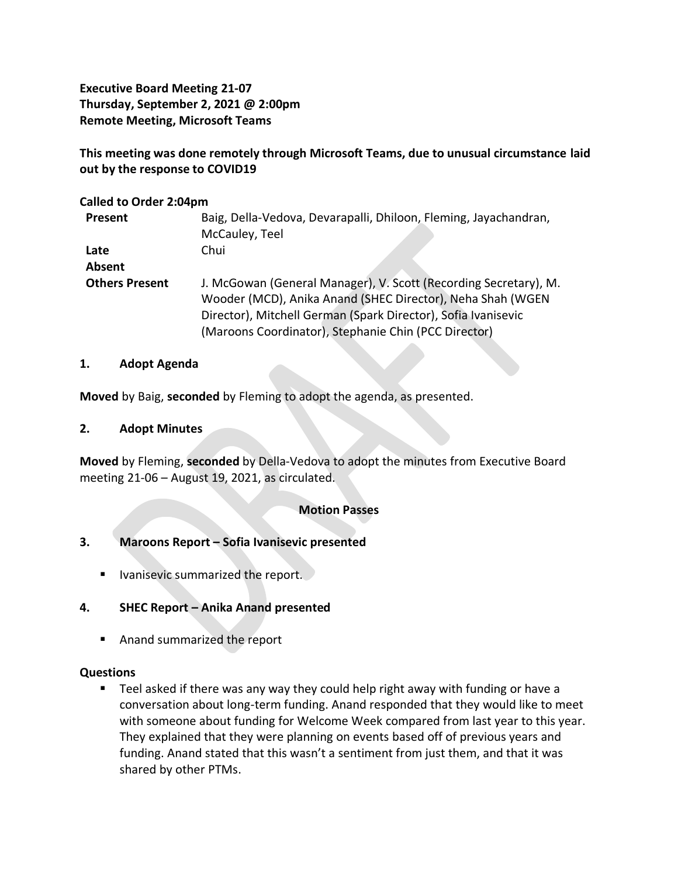**Executive Board Meeting 21-07 Thursday, September 2, 2021 @ 2:00pm Remote Meeting, Microsoft Teams**

**This meeting was done remotely through Microsoft Teams, due to unusual circumstance laid out by the response to COVID19**

### **Called to Order 2:04pm**

| Present               | Baig, Della-Vedova, Devarapalli, Dhiloon, Fleming, Jayachandran, |
|-----------------------|------------------------------------------------------------------|
|                       | McCauley, Teel                                                   |
| Late                  | Chui                                                             |
| Absent                |                                                                  |
| <b>Others Present</b> | J. McGowan (General Manager), V. Scott (Recording Secretary), M. |
|                       | Wooder (MCD), Anika Anand (SHEC Director), Neha Shah (WGEN       |
|                       | Director), Mitchell German (Spark Director), Sofia Ivanisevic    |
|                       | (Maroons Coordinator), Stephanie Chin (PCC Director)             |

#### **1. Adopt Agenda**

**Moved** by Baig, **seconded** by Fleming to adopt the agenda, as presented.

## **2. Adopt Minutes**

**Moved** by Fleming, **seconded** by Della-Vedova to adopt the minutes from Executive Board meeting 21-06 – August 19, 2021, as circulated.

## **Motion Passes**

## **3. Maroons Report – Sofia Ivanisevic presented**

**E** Ivanisevic summarized the report.

## **4. SHEC Report – Anika Anand presented**

■ Anand summarized the report

## **Questions**

■ Teel asked if there was any way they could help right away with funding or have a conversation about long-term funding. Anand responded that they would like to meet with someone about funding for Welcome Week compared from last year to this year. They explained that they were planning on events based off of previous years and funding. Anand stated that this wasn't a sentiment from just them, and that it was shared by other PTMs.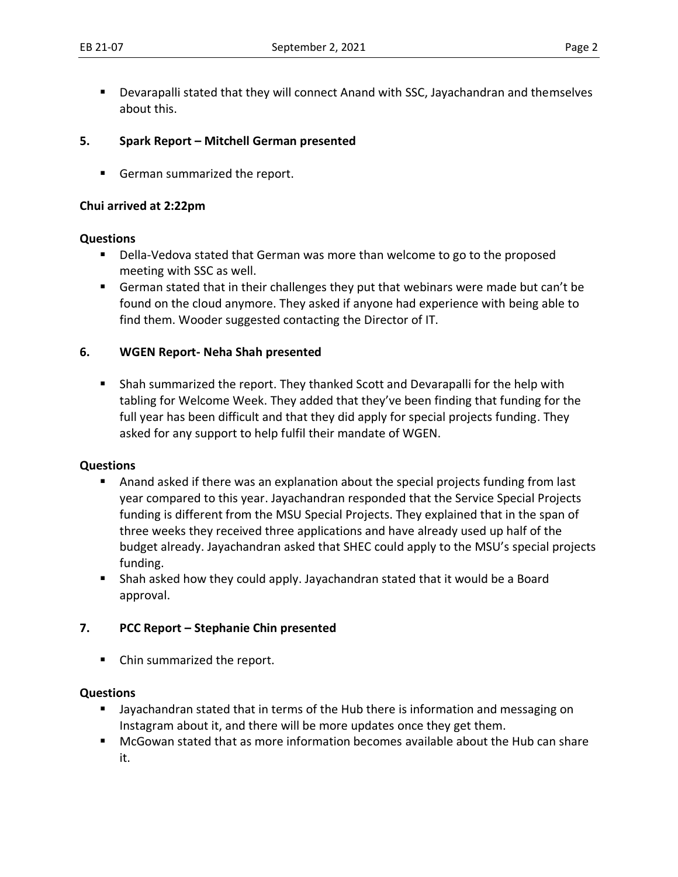■ Devarapalli stated that they will connect Anand with SSC, Jayachandran and themselves about this.

## **5. Spark Report – Mitchell German presented**

■ German summarized the report.

## **Chui arrived at 2:22pm**

#### **Questions**

- Della-Vedova stated that German was more than welcome to go to the proposed meeting with SSC as well.
- German stated that in their challenges they put that webinars were made but can't be found on the cloud anymore. They asked if anyone had experience with being able to find them. Wooder suggested contacting the Director of IT.

## **6. WGEN Report- Neha Shah presented**

■ Shah summarized the report. They thanked Scott and Devarapalli for the help with tabling for Welcome Week. They added that they've been finding that funding for the full year has been difficult and that they did apply for special projects funding. They asked for any support to help fulfil their mandate of WGEN.

## **Questions**

- Anand asked if there was an explanation about the special projects funding from last year compared to this year. Jayachandran responded that the Service Special Projects funding is different from the MSU Special Projects. They explained that in the span of three weeks they received three applications and have already used up half of the budget already. Jayachandran asked that SHEC could apply to the MSU's special projects funding.
- Shah asked how they could apply. Jayachandran stated that it would be a Board approval.

# **7. PCC Report – Stephanie Chin presented**

■ Chin summarized the report.

## **Questions**

- Jayachandran stated that in terms of the Hub there is information and messaging on Instagram about it, and there will be more updates once they get them.
- McGowan stated that as more information becomes available about the Hub can share it.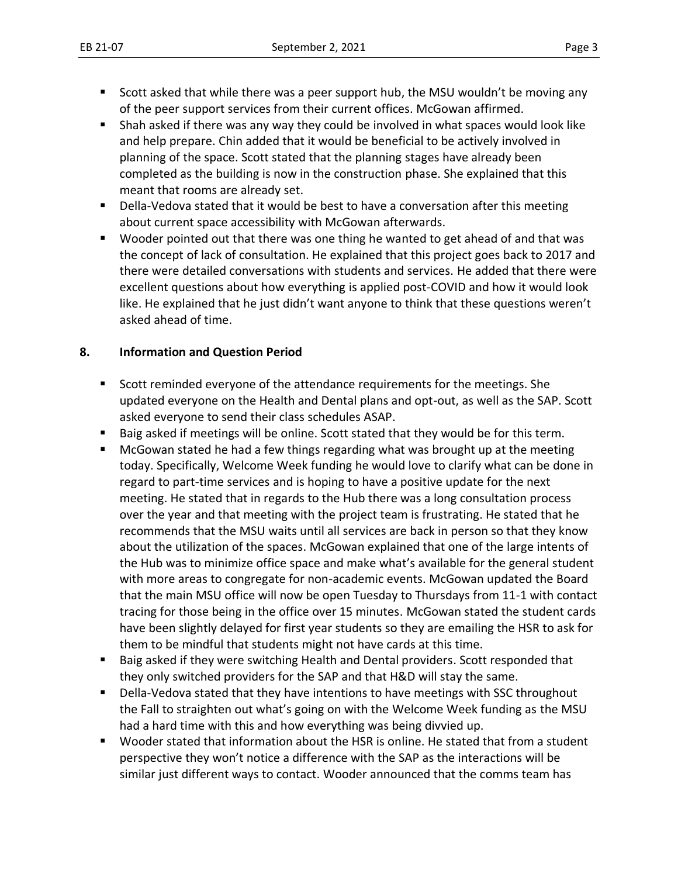- Scott asked that while there was a peer support hub, the MSU wouldn't be moving any of the peer support services from their current offices. McGowan affirmed.
- Shah asked if there was any way they could be involved in what spaces would look like and help prepare. Chin added that it would be beneficial to be actively involved in planning of the space. Scott stated that the planning stages have already been completed as the building is now in the construction phase. She explained that this meant that rooms are already set.
- Della-Vedova stated that it would be best to have a conversation after this meeting about current space accessibility with McGowan afterwards.
- Wooder pointed out that there was one thing he wanted to get ahead of and that was the concept of lack of consultation. He explained that this project goes back to 2017 and there were detailed conversations with students and services. He added that there were excellent questions about how everything is applied post-COVID and how it would look like. He explained that he just didn't want anyone to think that these questions weren't asked ahead of time.

# **8. Information and Question Period**

- Scott reminded everyone of the attendance requirements for the meetings. She updated everyone on the Health and Dental plans and opt-out, as well as the SAP. Scott asked everyone to send their class schedules ASAP.
- Baig asked if meetings will be online. Scott stated that they would be for this term.
- McGowan stated he had a few things regarding what was brought up at the meeting today. Specifically, Welcome Week funding he would love to clarify what can be done in regard to part-time services and is hoping to have a positive update for the next meeting. He stated that in regards to the Hub there was a long consultation process over the year and that meeting with the project team is frustrating. He stated that he recommends that the MSU waits until all services are back in person so that they know about the utilization of the spaces. McGowan explained that one of the large intents of the Hub was to minimize office space and make what's available for the general student with more areas to congregate for non-academic events. McGowan updated the Board that the main MSU office will now be open Tuesday to Thursdays from 11-1 with contact tracing for those being in the office over 15 minutes. McGowan stated the student cards have been slightly delayed for first year students so they are emailing the HSR to ask for them to be mindful that students might not have cards at this time.
- Baig asked if they were switching Health and Dental providers. Scott responded that they only switched providers for the SAP and that H&D will stay the same.
- Della-Vedova stated that they have intentions to have meetings with SSC throughout the Fall to straighten out what's going on with the Welcome Week funding as the MSU had a hard time with this and how everything was being divvied up.
- Wooder stated that information about the HSR is online. He stated that from a student perspective they won't notice a difference with the SAP as the interactions will be similar just different ways to contact. Wooder announced that the comms team has